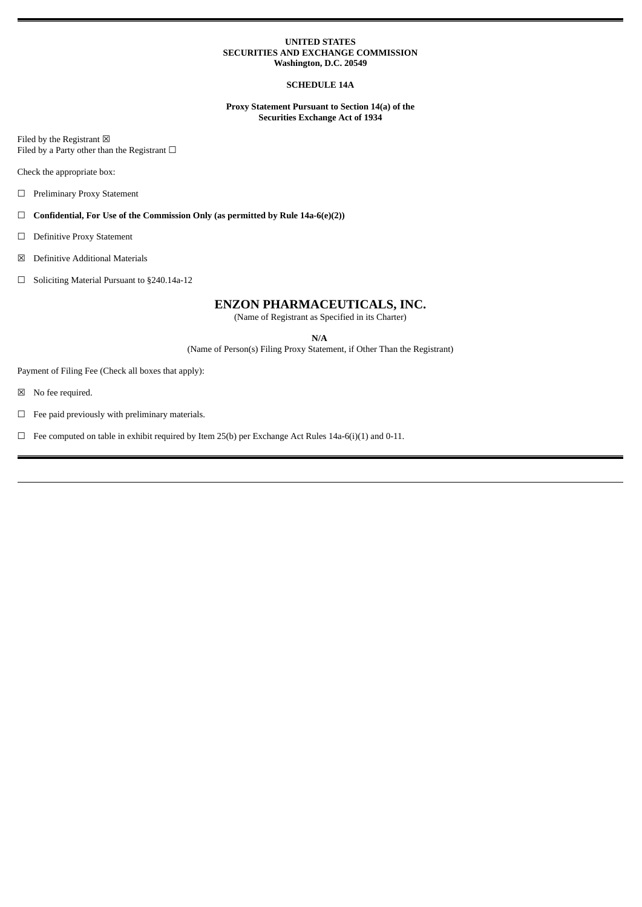#### **UNITED STATES SECURITIES AND EXCHANGE COMMISSION Washington, D.C. 20549**

#### **SCHEDULE 14A**

**Proxy Statement Pursuant to Section 14(a) of the Securities Exchange Act of 1934**

Filed by the Registrant  $\boxtimes$ Filed by a Party other than the Registrant  $□$ 

Check the appropriate box:

☐ Preliminary Proxy Statement

☐ **Confidential, For Use of the Commission Only (as permitted by Rule 14a-6(e)(2))**

☐ Definitive Proxy Statement

☒ Definitive Additional Materials

☐ Soliciting Material Pursuant to §240.14a-12

#### **ENZON PHARMACEUTICALS, INC.**

(Name of Registrant as Specified in its Charter)

**N/A**

(Name of Person(s) Filing Proxy Statement, if Other Than the Registrant)

Payment of Filing Fee (Check all boxes that apply):

☒ No fee required.

 $\Box$  <br>Fee paid previously with preliminary materials.

 $\Box$  Fee computed on table in exhibit required by Item 25(b) per Exchange Act Rules 14a-6(i)(1) and 0-11.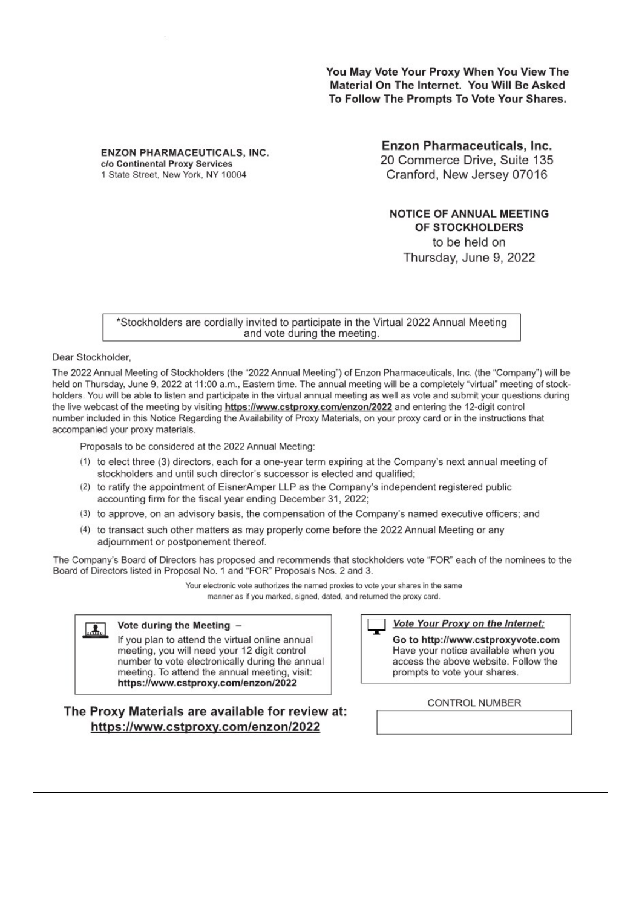You May Vote Your Proxy When You View The Material On The Internet. You Will Be Asked To Follow The Prompts To Vote Your Shares.

**ENZON PHARMACEUTICALS, INC.** c/o Continental Proxy Services 1 State Street, New York, NY 10004

**Enzon Pharmaceuticals, Inc.** 20 Commerce Drive, Suite 135 Cranford, New Jersey 07016

**NOTICE OF ANNUAL MEETING** OF STOCKHOLDERS to be held on Thursday, June 9, 2022

\*Stockholders are cordially invited to participate in the Virtual 2022 Annual Meeting and vote during the meeting.

Dear Stockholder.

The 2022 Annual Meeting of Stockholders (the "2022 Annual Meeting") of Enzon Pharmaceuticals, Inc. (the "Company") will be held on Thursday, June 9, 2022 at 11:00 a.m., Eastern time. The annual meeting will be a completely "virtual" meeting of stockholders. You will be able to listen and participate in the virtual annual meeting as well as vote and submit your questions during the live webcast of the meeting by visiting https://www.cstproxy.com/enzon/2022 and entering the 12-digit control number included in this Notice Regarding the Availability of Proxy Materials, on your proxy card or in the instructions that accompanied your proxy materials.

Proposals to be considered at the 2022 Annual Meeting:

- (1) to elect three (3) directors, each for a one-year term expiring at the Company's next annual meeting of stockholders and until such director's successor is elected and qualified;
- (2) to ratify the appointment of EisnerAmper LLP as the Company's independent registered public accounting firm for the fiscal year ending December 31, 2022;
- (3) to approve, on an advisory basis, the compensation of the Company's named executive officers; and
- (4) to transact such other matters as may properly come before the 2022 Annual Meeting or any adjournment or postponement thereof.

The Company's Board of Directors has proposed and recommends that stockholders vote "FOR" each of the nominees to the Board of Directors listed in Proposal No. 1 and "FOR" Proposals Nos. 2 and 3.

> Your electronic vote authorizes the named proxies to vote your shares in the same manner as if you marked, signed, dated, and returned the proxy card.

### Vote during the Meeting -

If you plan to attend the virtual online annual meeting, you will need your 12 digit control number to vote electronically during the annual meeting. To attend the annual meeting, visit: https://www.cstproxy.com/enzon/2022

## The Proxy Materials are available for review at: https://www.cstproxy.com/enzon/2022

### **Vote Your Proxy on the Internet:**

Go to http://www.cstproxyvote.com Have your notice available when you access the above website. Follow the prompts to vote your shares.

### **CONTROL NUMBER**